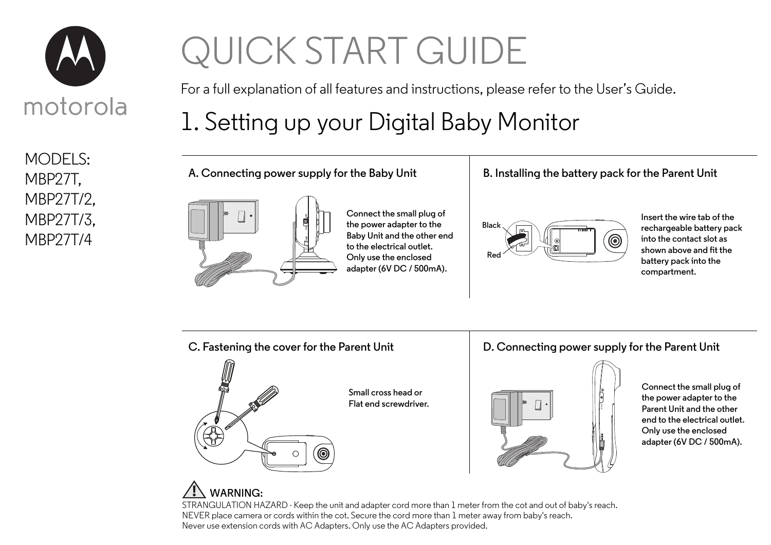

MODELS: MBP27T, MBP27T/2, MBP27T/3, MBP27T/4

# QUICK START GUIDE

For a full explanation of all features and instructions, please refer to the User's Guide.

## 1. Setting up your Digital Baby Monitor

**A. Connecting power supply for the Baby Unit**



**Connect the small plug of the power adapter to the Baby Unit and the other end to the electrical outlet. Only use the enclosed adapter (6V DC / 500mA).**

#### **B. Installing the battery pack for the Parent Unit**



**Insert the wire tab of the rechargeable battery pack into the contact slot as shown above and fit the battery pack into the compartment.**



**D. Connecting power supply for the Parent Unit**



**Connect the small plug of the power adapter to the Parent Unit and the other end to the electrical outlet. Only use the enclosed adapter (6V DC / 500mA).**

### **WARNING:**

STRANGULATION HAZARD - Keep the unit and adapter cord more than 1 meter from the cot and out of baby's reach. NEVER place camera or cords within the cot. Secure the cord more than 1 meter away from baby's reach. Never use extension cords with AC Adapters. Only use the AC Adapters provided.